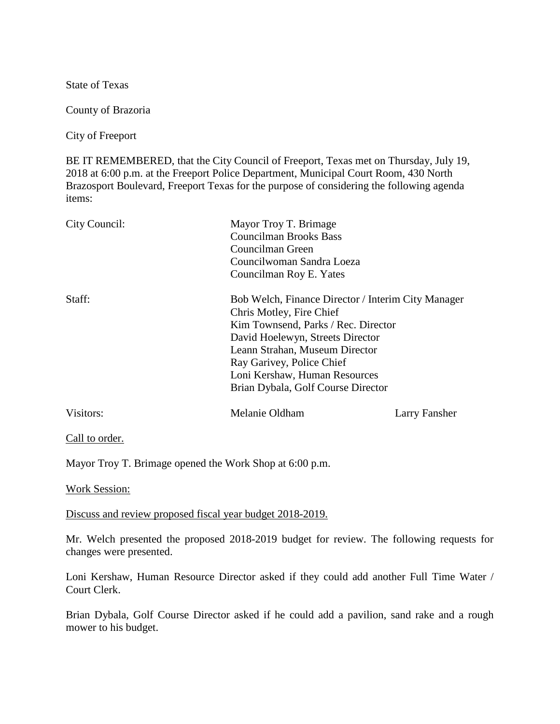State of Texas

County of Brazoria

City of Freeport

BE IT REMEMBERED, that the City Council of Freeport, Texas met on Thursday, July 19, 2018 at 6:00 p.m. at the Freeport Police Department, Municipal Court Room, 430 North Brazosport Boulevard, Freeport Texas for the purpose of considering the following agenda items:

| City Council: | Mayor Troy T. Brimage<br><b>Councilman Brooks Bass</b><br>Councilman Green<br>Councilwoman Sandra Loeza<br>Councilman Roy E. Yates |               |        |                                                                                                                                                                                                     |  |
|---------------|------------------------------------------------------------------------------------------------------------------------------------|---------------|--------|-----------------------------------------------------------------------------------------------------------------------------------------------------------------------------------------------------|--|
|               |                                                                                                                                    |               |        |                                                                                                                                                                                                     |  |
|               |                                                                                                                                    |               | Staff: | Bob Welch, Finance Director / Interim City Manager                                                                                                                                                  |  |
|               |                                                                                                                                    |               |        | Chris Motley, Fire Chief<br>Kim Townsend, Parks / Rec. Director<br>David Hoelewyn, Streets Director<br>Leann Strahan, Museum Director<br>Ray Garivey, Police Chief<br>Loni Kershaw, Human Resources |  |
|               |                                                                                                                                    |               |        |                                                                                                                                                                                                     |  |
| Visitors:     | Melanie Oldham                                                                                                                     | Larry Fansher |        |                                                                                                                                                                                                     |  |
|               |                                                                                                                                    |               |        |                                                                                                                                                                                                     |  |

Call to order.

Mayor Troy T. Brimage opened the Work Shop at 6:00 p.m.

Work Session:

Discuss and review proposed fiscal year budget 2018-2019.

Mr. Welch presented the proposed 2018-2019 budget for review. The following requests for changes were presented.

Loni Kershaw, Human Resource Director asked if they could add another Full Time Water / Court Clerk.

Brian Dybala, Golf Course Director asked if he could add a pavilion, sand rake and a rough mower to his budget.